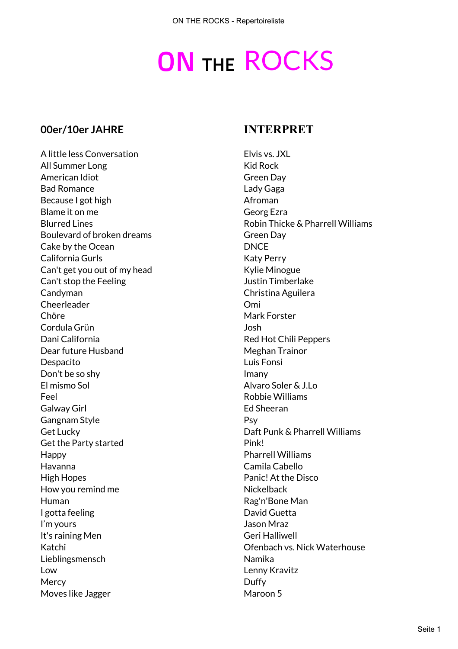# **ON THE ROCKS**

#### **00er/10er JAHRE INTERPRET**

A little less Conversation **Elvis vs. JXL** All Summer Long North Contract Contract Contract Contract Contract Contract Contract Contract Contract Contract Contract Contract Contract Contract Contract Contract Contract Contract Contract Contract Contract Contract Co American Idiot Green Day Bad Romance **Lady Gaga** Because I got high Afroman Because I got high Afroman Because I got high Afroman Because I got high Afroman Because I got  $\mathbb{R}$ Blame it on me Georg Ezra Boulevard of broken dreams Green Day Cake by the Ocean DNCE California Gurls **Katy Perry** Can't get you out of my head Kylie Minogue Can't stop the Feeling Timberlake Justin Timberlake Candyman Candyman Christina Aguilera Cheerleader Omi Chöre Mark Forster Cordula Grün Josh Dani California **Red Hot Chili Peppers** Dear future Husband Meghan Trainor Despacito Luis Fonsi Don't be so shy imany El mismo Sol Alvaro Soler & J.Lo Feel Robbie Williams Galway Girl **Ed Sheeran** Gangnam Style **Communistyle** Psy Get Lucky Daft Punk & Pharrell Williams Get the Party started Pink! Happy Pharrell Williams Havanna Camila Cabello High Hopes Panic! At the Disco How you remind me Nickelback Human Rag'n'Bone Man I gotta feeling and David Guetta Controllering and David Guetta I'm yours and the state of the state of the state of the Jason Mraz It's raining Men Geri Halliwell Lieblingsmensch and a bro-Low Lenny Kravitz Mercy **Duffy** Moves like Jagger Maroon 5

Blurred Lines **Robin Thicke & Pharrell Williams** Katchi Ofenbach vs. Nick Waterhouse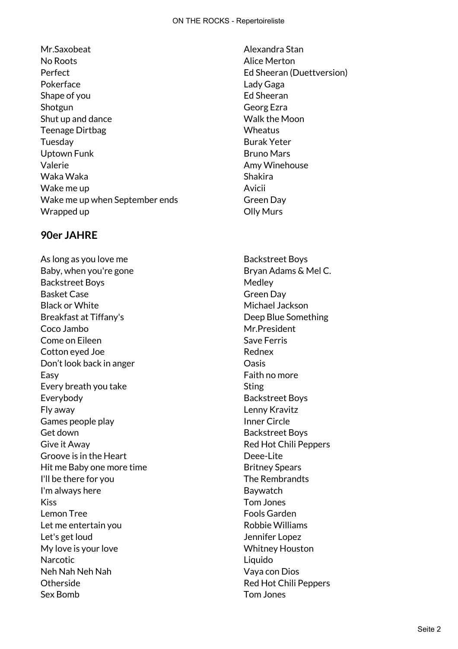Mr.Saxobeat Alexandra Stan No Roots **Alice Merton** Perfect **Ed Sheeran (Duettversion)** Pokerface **Lady Gaga** Shape of you example a set of the Sheeran Ed Sheeran Shotgun Georg Ezra Shut up and dance Shut up and dance Walk the Moon Teenage Dirtbag Wheatus Tuesday Burak Yeter Uptown Funk Bruno Mars Valerie **Amy Winehouse** Waka Waka Nasara Shakira Wake me up and a series of the series of the Avicii Wake me up when September ends Green Day Wrapped up and the Colly Murs Colly Murs

# **90er JAHRE**

As long as you love me Backstreet Boys Baby, when you're gone Bryan Adams & Mel C. Backstreet Boys and the Medley Medley Basket Case Green Day Black or White Michael Jackson Breakfast at Tiffany's Deep Blue Something Coco Jambo **Mr.President** Come on Eileen Save Ferris Cotton eyed Joe **Rednex** Don't look back in anger **Don't Look back** in anger Easy **Faith no more** Every breath you take Sting Everybody **Backstreet Boys** Fly away Lenny Kravitz Games people play Inner Circle Get down Get down Backstreet Boys Give it Away **Red Hot Chili Peppers** Groove is in the Heart **Deee-Lite** Hit me Baby one more time Britney Spears I'll be there for you **The Rembrandts** I'm always here **Baywatch** Kiss Tom Jones Lemon Tree **Fools** Garden Let me entertain you and the state of the Robbie Williams Let's get loud and a set of the set of the set of the Jennifer Lopez My love is your love Whitney Houston Narcotic **Liquido** Neh Nah Neh Nah Vaya con Dios Otherside **Red Hot Chili Peppers** Sex Bomb Tom Jones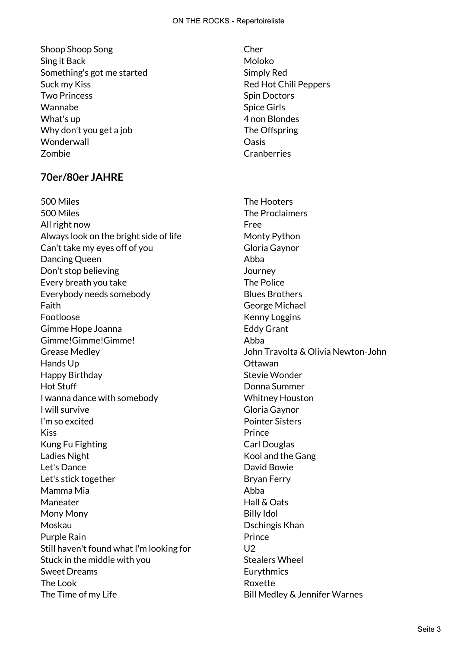Shoop Shoop Song Chern Chern Chern Chern Chern Chern Chern Chern Chern Chern Chern Chern Chern Chern Chern Chern Chern Chern Chern Chern Chern Chern Chern Chern Chern Chern Chern Chern Chern Chern Chern Chern Chern Chern C Sing it Back Moloko Moloko Something's got me started Simply Red Suck my Kiss **Red Hot Chili Peppers** Red Hot Chili Peppers Two Princess **Spin Doctors** Spin Doctors Wannabe Spice Girls What's up 4 non Blondes Why don't you get a job The Offspring Wonderwall **Wonderwall** Zombie Cranberries

# **70er/80er JAHRE**

500 Miles The Hooters 500 Miles The Proclaimers All right now Free Always look on the bright side of life Monty Python Can't take my eyes off of you Gloria Gaynor Dancing Queen **Abba** Don't stop believing and the stop believing states of the state of the Journey Every breath you take The Police Everybody needs somebody example and Blues Brothers Faith George Michael Footloose **Kenny Loggins** Gimme Hope Joanna **Eddy Grant** Gimme!Gimme!Gimme! Abba Grease Medley John Travolta & Olivia Newton-John Hands Up **All Accords** Containing the Citawan Happy Birthday **Stevie Wonder** Hot Stuff Donna Summer I wanna dance with somebody New York Whitney Houston I will survive Gloria Gaynor I'm so excited a series of the Pointer Sisters Kiss **Prince** Kung Fu Fighting Carl Douglas Ladies Night Kool and the Gang Let's Dance **David Bowie** Let's stick together and the Bryan Ferry Mamma Mia Abba Maneater **Maneater** Hall & Oats Mony Mony Billy Idol Moskau Dschingis Khan Purple Rain **Prince** Still haven't found what I'm looking for U2 Stuck in the middle with you Stealers Wheel Sweet Dreams **Eurythmics** The Look **Roxette** The Time of my Life The Time of my Life Bill Medley & Jennifer Warnes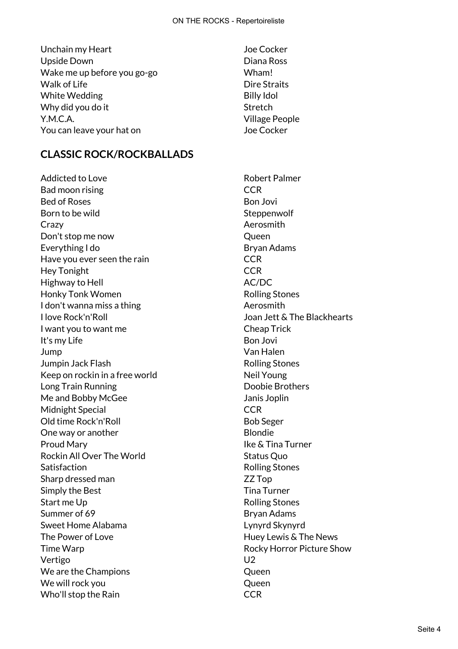- Unchain my Heart Joe Cocker Upside Down Diana Ross Wake me up before you go-go wham! Walk of Life **Dire Straits** White Wedding **Billy Idol** Why did you do it Stretch Y.M.C.A. Village People You can leave your hat on Joe Cocker
- **CLASSIC ROCK/ROCKBALLADS**

Addicted to Love **Addicted to Love Robert Palmer** Bad moon rising example of the contract of the CCR Bed of Roses Bon Jovi Born to be wild state of the Steppenwolf Crazy **Aerosmith** Don't stop me now **Queen** Everything I do Bryan Adams Have you ever seen the rain EQUA COR Hey Tonight **CCR** Highway to Hell **AC/DC** Honky Tonk Women **Rolling Stones** I don't wanna miss a thing and the state of the Aerosmith I love Rock'n'Roll Joan Jett & The Blackhearts I want you to want me **I could be a Cheap Trick** It's my Life Bon Jovi Jump Van Halen **Jumpin Jack Flash Rolling Stones** Keep on rockin in a free world Neil Young Long Train Running **Communist Communist Communist Communist Communist Communist Communist Communist Communist Communist Communist Communist Communist Communist Communist Communist Communist Communist Communist Communist Co** Me and Bobby McGee Janis Joplin Midnight Special **CCR** Old time Rock'n'Roll Bob Seger One way or another example and the Blondie Proud Mary **Islaming the United States and States** Ike & Tina Turner Rockin All Over The World Status Quo Satisfaction **Rolling Stones** Sharp dressed man **Example 22** Top Simply the Best Tima Turner Start me Up **Rolling Stones** Rolling Stones Summer of 69 Bryan Adams Sweet Home Alabama Lynyrd Skynyrd The Power of Love The Power of Love The News Time Warp **Rocky Horror Picture Show** Vertigo U2 We are the Champions and the Champions of the Champions of the Cueen of the Cueen We will rock you a control of the UV of the Queen Who'll stop the Rain CCR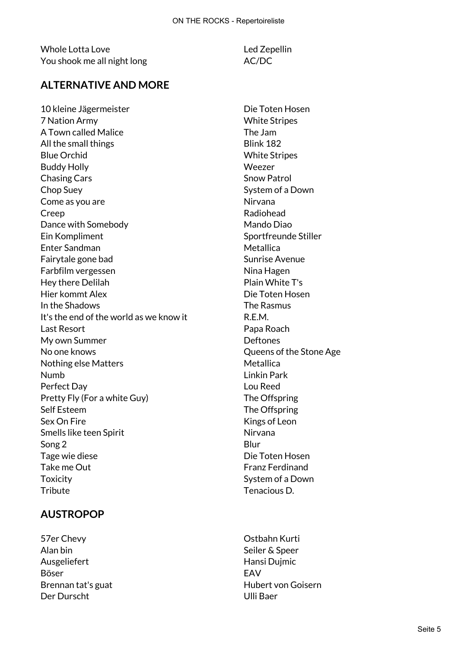Whole Lotta Love **Led Zepellin** You shook me all night long and the MC/DC

# **ALTERNATIVE AND MORE**

10 kleine Jägermeister auf der Die Toten Hosen 7 Nation Army White Stripes A Town called Malice **The Jam** All the small things and the small things are set of the Blink 182 Blue Orchid White Stripes Buddy Holly Weezer Chasing Cars **Snow Patrol** Chop Suey System of a Down Come as you are Nirvana Creep **Radiohead** Radiohead Dance with Somebody Nando Diao Ein Kompliment Sportfreunde Stiller Enter Sandman Metallica Fairytale gone bad Sunrise Avenue Farbfilm vergessen Nina Hagen Hey there Delilah Plain White T's Hier kommt Alex Die Toten Hosen In the Shadows The Rasmus It's the end of the world as we know it R.E.M. Last Resort **Papa Roach** My own Summer Deftones No one knows Queens of the Stone Age Nothing else Matters Metallica Numb Linkin Park Perfect Day Lou Reed Pretty Fly (For a white Guy) The Offspring Self Esteem The Offspring Sex On Fire **Kings** of Leon Smells like teen Spirit Nirvana Song 2 Blur Tage wie diese National States and Die Toten Hosen Take me Out **Franz Ferdinand** Toxicity **System of a Down** Tribute Tenacious D.

# **AUSTROPOP**

57er Chevy Ostbahn Kurti Alan bin Seiler & Speer Ausgeliefert **Hansi Dujmic** Böser EAV Der Durscht Ulli Baer

Brennan tat's guat de de de de de de de Hubert von Goisern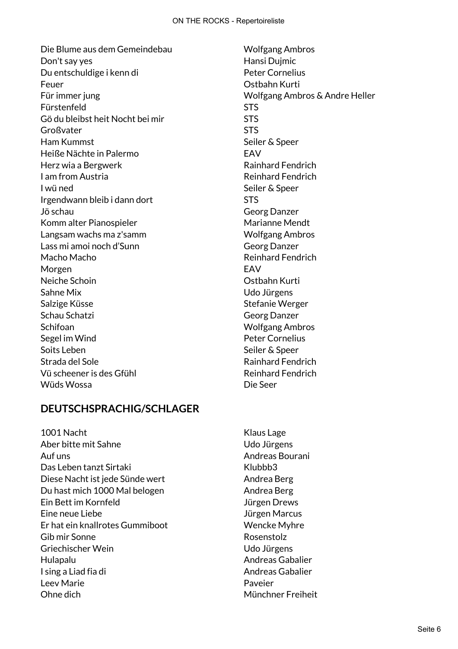Die Blume aus dem Gemeindebau Noble Wolfgang Ambros Don't say yes **Hansi Dujmic** Boost in the Hansi Dujmic Du entschuldige i kenn di Peter Cornelius Feuer Ostbahn Kurti Für immer jung Wolfgang Ambros & Andre Heller Fürstenfeld STS Gö du bleibst heit Nocht bei mir STS Großvater STS Ham Kummst Seiler & Speer Heiße Nächte in Palermo EAV Herz wia a Bergwerk **Rainhard Fendrich** I am from Austria **I am from Austria** I wü ned Next Speer Seiler & Speer Irgendwann bleib i dann dort STS Jö schau Georg Danzer Komm alter Pianospieler Marianne Mendt Langsam wachs ma z'samm Wolfgang Ambros Lass mi amoi noch d'Sunn Georg Danzer Macho Macho Reinhard Fendrich Morgen **EAV** Neiche Schoin Ostbahn Kurti Sahne Mix Udo Jürgens Salzige Küsse Salzige Küsse Stefanie Werger Schau Schatzi Georg Danzer Schifoan Wolfgang Ambros Segel im Wind **Peter Cornelius** Soits Leben Soits Leben Seiler & Speer Strada del Sole Rainhard Fendrich Vü scheener is des Gfühl auf der anten auf der Reinhard Fendrich Wüds Wossa Die Seer

# **DEUTSCHSPRACHIG/SCHLAGER**

1001 Nacht Klaus Lage Aber bitte mit Sahne Volkstaatsbekende und der Udo Jürgens Auf uns andreas Bourani Das Leben tanzt Sirtaki Klubbb3 Diese Nacht ist jede Sünde wert Andrea Berg Du hast mich 1000 Mal belogen Andrea Berg Ein Bett im Kornfeld Jürgen Drews Eine neue Liebe Jürgen Marcus Er hat ein knallrotes Gummiboot Wencke Myhre Gib mir Sonne Rosenstolz Griechischer Wein and Durgens Udo Jürgens Hulapalu Andreas Gabalier I sing a Liad fia di Andreas Gabalier Leev Marie **Access 19 August 2018** Paveier Ohne dich **Münchner Freiheit**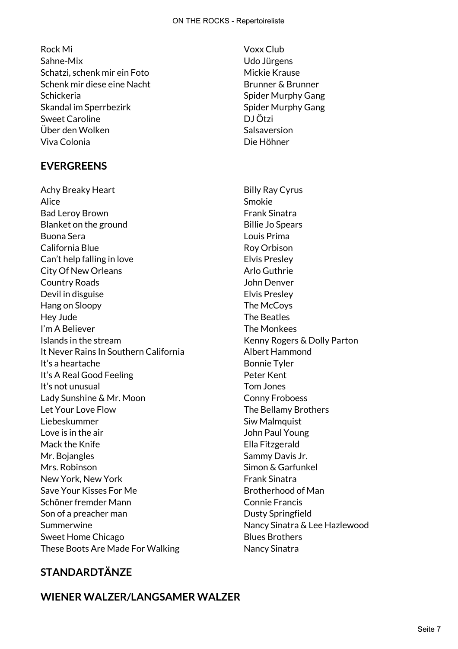Rock Mi Voxx Club Sahne-Mix Udo Jürgens Schatzi, schenk mir ein Foto Mickie Krause Schenk mir diese eine Nacht Brunner & Brunner Schickeria Spider Murphy Gang Skandal im Sperrbezirk Spider Murphy Gang Sweet Caroline **DJ Ötzi** Über den Wolken Salsaversion Viva Colonia Die Höhner

# **EVERGREENS**

Achy Breaky Heart Billy Ray Cyrus Alice Smokie Bad Leroy Brown **Example 20** Example 20 Frank Sinatra Blanket on the ground Billie Jo Spears Buona Sera Louis Prima California Blue **Roy Orbison** Can't help falling in love Elvis Presley City Of New Orleans **Arlo** Guthrie Country Roads John Denver Devil in disguise **Elvis Presley** Hang on Sloopy The McCoys Hey Jude The Beatles I'm A Believer The Monkees Islands in the stream Kenny Rogers & Dolly Parton It Never Rains In Southern California and Albert Hammond It's a heartache Bonnie Tyler It's A Real Good Feeling Netter Kent It's not unusual Tom Jones Lady Sunshine & Mr. Moon Conny Froboess Let Your Love Flow The Bellamy Brothers Liebeskummer Siw Malmquist Love is in the air **Same Strutter and Strutter and Strutter** John Paul Young Mack the Knife **Ella Fitzgerald** Mr. Bojangles Sammy Davis Jr. Mrs. Robinson No. 1996 Simon & Garfunkel New York, New York **Frank Sinatra** Save Your Kisses For Me Brotherhood of Man Schöner fremder Mann Connie Francis Son of a preacher man Dusty Springfield Summerwine **Nancy Sinatra & Lee Hazlewood** Sweet Home Chicago Blues Brothers These Boots Are Made For Walking Nancy Sinatra

# **STANDARDTÄNZE**

#### **WIENER WALZER/LANGSAMER WALZER**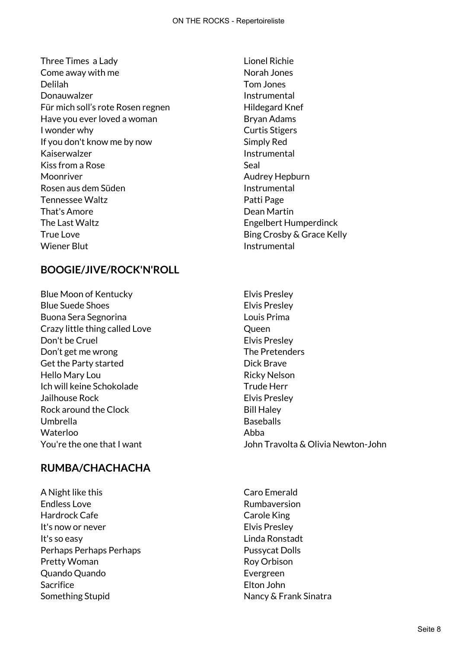Three Times a Lady **Lionel Richie** Come away with me Norah Jones Delilah Tom Jones Donauwalzer **Instrumental** Für mich soll's rote Rosen regnen Für Hildegard Knef Have you ever loved a woman Bryan Adams I wonder why **Curtis Stigers** If you don't know me by now Simply Red Kaiserwalzer **Instrumental** Kiss from a Rose Seal Moonriver Moonriver Audrey Hepburn Rosen aus dem Süden Instrumental Tennessee Waltz **Patti Page** That's Amore **Dean Martin** The Last Waltz **Engelbert Humperdinck** True Love **Bing Crosby & Grace Kelly** Wiener Blut **Instrumental** 

# **BOOGIE/JIVE/ROCK'N'ROLL**

Blue Moon of Kentucky Elvis Presley Blue Suede Shoes **Elvis Presley** Buona Sera Segnorina Louis Prima Crazy little thing called Love Crazy Queen Don't be Cruel **Elvis** Presley Don't get me wrong example that the Pretenders Get the Party started Dick Brave Hello Mary Lou and The County of the Ricky Nelson Ich will keine Schokolade Trude Herr Jailhouse Rock Elvis Presley Rock around the Clock Bill Haley Umbrella **Baseballs** Waterloo **Abba** 

# **RUMBA/CHACHACHA**

A Night like this Caro Emerald Endless Love **Endless** Love Hardrock Cafe **Carole King** It's now or never expression of the Elvis Presley It's so easy Linda Ronstadt Perhaps Perhaps Perhaps **Pussycat Dolls** Pretty Woman **Roy Orbison** Quando Quando Evergreen Sacrifice **Elton John** Something Stupid Nancy & Frank Sinatra

- 
- You're the one that I want John Travolta & Olivia Newton-John
	-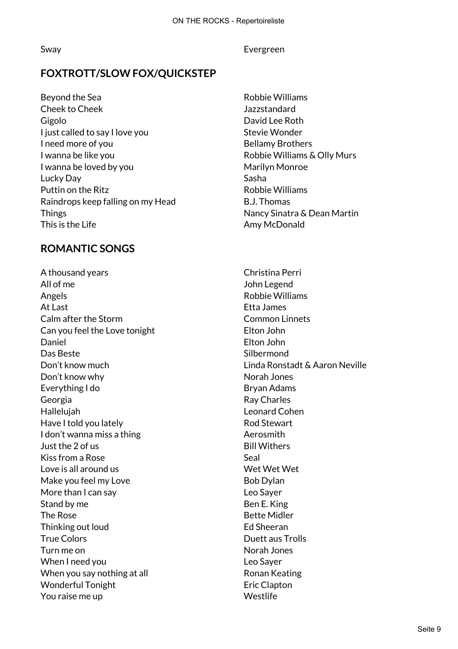#### Sway Evergreen

# **FOXTROTT/SLOW FOX/QUICKSTEP**

Beyond the Sea **Robbie Williams** Cheek to Cheek Jazzstandard Gigolo David Lee Roth I just called to say I love you Stevie Wonder I need more of you **Bellamy Brothers** I wanna be like you **Example 2018** Robbie Williams & Olly Murs I wanna be loved by you New York Marilyn Monroe Lucky Day New York 1989, New York 1989, New York 1989, New York 1989, New York 1989, New York 1989, New York 1 Puttin on the Ritz **Robie Williams** Raindrops keep falling on my Head B.J. Thomas Things **Nancy Sinatra & Dean Martin** This is the Life Amy McDonald

# **ROMANTIC SONGS**

A thousand years Christina Perri All of me John Legend Angels **Angels** Angels **Robbie Williams** At Last **Etha James** Calm after the Storm Common Linnets Can you feel the Love tonight Elton John Daniel Elton John Das Beste Silbermond Don't know much Linda Ronstadt & Aaron Neville Don't know why Norah Jones Everything I do Bryan Adams Georgia **Contract Contract Contract Contract Contract Contract Contract Contract Contract Contract Contract Contract Contract Contract Contract Contract Contract Contract Contract Contract Contract Contract Contract Contra** Hallelujah Leonard Cohen Have I told you lately and the state of the Rod Stewart I don't wanna miss a thing and the state of the Aerosmith Just the 2 of us **Bill Withers** Kiss from a Rose Seal Love is all around us Wet Wet Wet Make you feel my Love Bob Dylan More than I can say **Leo Sayer** Stand by me Ben E. King The Rose **Bette Midler** Bette Midler Thinking out loud and the state of the Ed Sheeran True Colors **Duett** aus Trolls Turn me on Norah Jones When I need you and the state of the Sayer control of the Sayer When you say nothing at all **Example 20 September 2018** Ronan Keating Wonderful Tonight **Example 2** Eric Clapton You raise me up Nestlife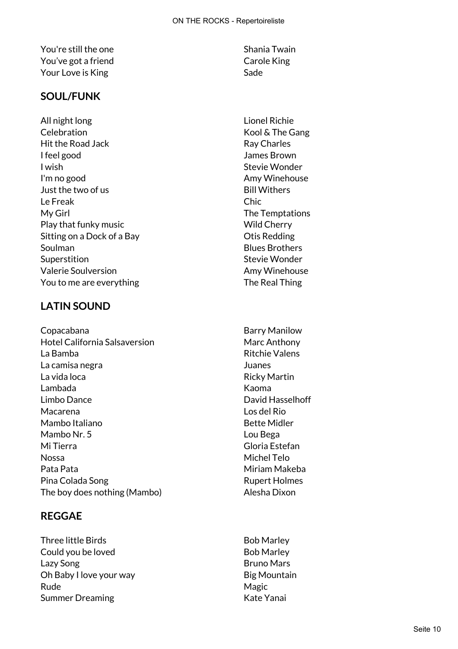You're still the one Shania Twain You've got a friend Carole King Your Love is King Sade Sade

### **SOUL/FUNK**

All night long Lionel Richie Celebration Celebration Celebration Hit the Road Jack **Ray Charles** Ray Charles I feel good James Brown I wish **Stevie Wonder** I'm no good and a series of the Amy Winehouse Just the two of us and the second second second second second second second second second second second second second second second second second second second second second second second second second second second second Le Freak Chic My Girl The Temptations Play that funky music New York New York Wild Cherry Sitting on a Dock of a Bay **Otis Redding** Soulman Blues Brothers Superstition Superstition Stevie Wonder Valerie Soulversion and Amy Winehouse You to me are everything The Real Thing

# **LATIN SOUND**

Copacabana **Barry Manilow** Hotel California Salsaversion Marc Anthony La Bamba **Ritchie Valens** La camisa negra Juanes La vida loca **Ricky Martin** Lambada Kaoma Limbo Dance **David Hasselhoff** Macarena Los del Rio Mambo Italiano **Bette Midler** Mambo Nr. 5 Lou Bega Mi Tierra Gloria Estefan Nossa Michel Telo Pata Pata Ninam Makeba Pina Colada Song Rupert Holmes The boy does nothing (Mambo) and the Manus Alesha Dixon

# **REGGAE**

Three little Birds **Bob Marley** Bob Marley Could you be loved and the state of the Bob Marley Lazy Song **Bruno Mars** Oh Baby I love your way Big Mountain Rude Magic Number of The Magic Number of The Magic Summer Dreaming The Contract of the Kate Yanai